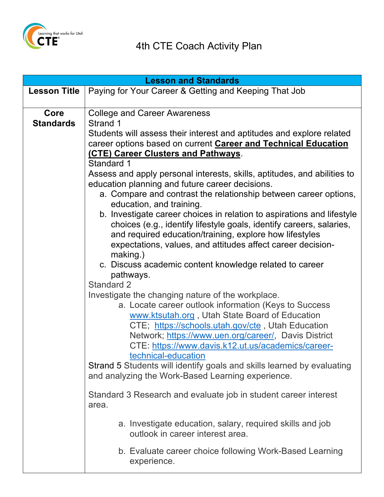

| <b>Lesson and Standards</b> |                                                                                                                        |  |
|-----------------------------|------------------------------------------------------------------------------------------------------------------------|--|
| <b>Lesson Title</b>         | Paying for Your Career & Getting and Keeping That Job                                                                  |  |
|                             |                                                                                                                        |  |
| Core                        | <b>College and Career Awareness</b>                                                                                    |  |
| <b>Standards</b>            | Strand 1                                                                                                               |  |
|                             | Students will assess their interest and aptitudes and explore related                                                  |  |
|                             | career options based on current <b>Career and Technical Education</b><br>(CTE) Career Clusters and Pathways.           |  |
|                             | Standard 1                                                                                                             |  |
|                             | Assess and apply personal interests, skills, aptitudes, and abilities to                                               |  |
|                             | education planning and future career decisions.                                                                        |  |
|                             | a. Compare and contrast the relationship between career options,                                                       |  |
|                             | education, and training.                                                                                               |  |
|                             | b. Investigate career choices in relation to aspirations and lifestyle                                                 |  |
|                             | choices (e.g., identify lifestyle goals, identify careers, salaries,                                                   |  |
|                             | and required education/training, explore how lifestyles<br>expectations, values, and attitudes affect career decision- |  |
|                             | making.)                                                                                                               |  |
|                             | c. Discuss academic content knowledge related to career                                                                |  |
|                             | pathways.                                                                                                              |  |
|                             | <b>Standard 2</b>                                                                                                      |  |
|                             | Investigate the changing nature of the workplace.                                                                      |  |
|                             | a. Locate career outlook information (Keys to Success                                                                  |  |
|                             | www.ktsutah.org, Utah State Board of Education<br>CTE; https://schools.utah.gov/cte, Utah Education                    |  |
|                             | Network; https://www.uen.org/career/, Davis District                                                                   |  |
|                             | CTE: https://www.davis.k12.ut.us/academics/career-                                                                     |  |
|                             | technical-education                                                                                                    |  |
|                             | Strand 5 Students will identify goals and skills learned by evaluating                                                 |  |
|                             | and analyzing the Work-Based Learning experience.                                                                      |  |
|                             | Standard 3 Research and evaluate job in student career interest                                                        |  |
|                             | area.                                                                                                                  |  |
|                             | a. Investigate education, salary, required skills and job<br>outlook in career interest area.                          |  |
|                             | b. Evaluate career choice following Work-Based Learning<br>experience.                                                 |  |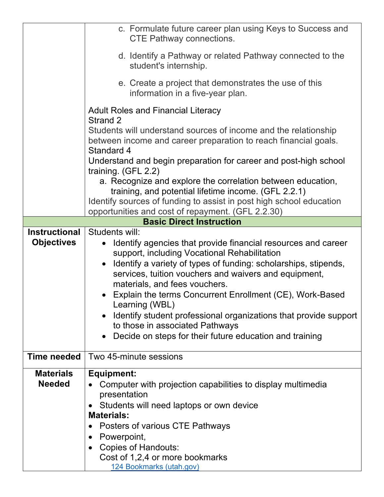|                      | c. Formulate future career plan using Keys to Success and<br><b>CTE Pathway connections.</b>                                                     |
|----------------------|--------------------------------------------------------------------------------------------------------------------------------------------------|
|                      | d. Identify a Pathway or related Pathway connected to the<br>student's internship.                                                               |
|                      | e. Create a project that demonstrates the use of this<br>information in a five-year plan.                                                        |
|                      | <b>Adult Roles and Financial Literacy</b><br>Strand 2                                                                                            |
|                      | Students will understand sources of income and the relationship<br>between income and career preparation to reach financial goals.<br>Standard 4 |
|                      | Understand and begin preparation for career and post-high school<br>training. (GFL 2.2)                                                          |
|                      | a. Recognize and explore the correlation between education,<br>training, and potential lifetime income. (GFL 2.2.1)                              |
|                      | Identify sources of funding to assist in post high school education<br>opportunities and cost of repayment. (GFL 2.2.30)                         |
|                      | <b>Basic Direct Instruction</b>                                                                                                                  |
| <b>Instructional</b> | Students will:                                                                                                                                   |
| <b>Objectives</b>    | Identify agencies that provide financial resources and career                                                                                    |
|                      | support, including Vocational Rehabilitation                                                                                                     |
|                      | Identify a variety of types of funding: scholarships, stipends,<br>$\bullet$                                                                     |
|                      | services, tuition vouchers and waivers and equipment,                                                                                            |
|                      | materials, and fees vouchers.                                                                                                                    |
|                      | Explain the terms Concurrent Enrollment (CE), Work-Based<br>Learning (WBL)                                                                       |
|                      | Identify student professional organizations that provide support<br>to those in associated Pathways                                              |
|                      | Decide on steps for their future education and training                                                                                          |
| <b>Time needed</b>   | Two 45-minute sessions                                                                                                                           |
| <b>Materials</b>     | <b>Equipment:</b>                                                                                                                                |
| <b>Needed</b>        | Computer with projection capabilities to display multimedia                                                                                      |
|                      | presentation                                                                                                                                     |
|                      | Students will need laptops or own device                                                                                                         |
|                      | <b>Materials:</b>                                                                                                                                |
|                      | Posters of various CTE Pathways                                                                                                                  |
|                      | Powerpoint,                                                                                                                                      |
|                      | <b>Copies of Handouts:</b>                                                                                                                       |
|                      | Cost of 1,2,4 or more bookmarks<br>124 Bookmarks (utah.gov)                                                                                      |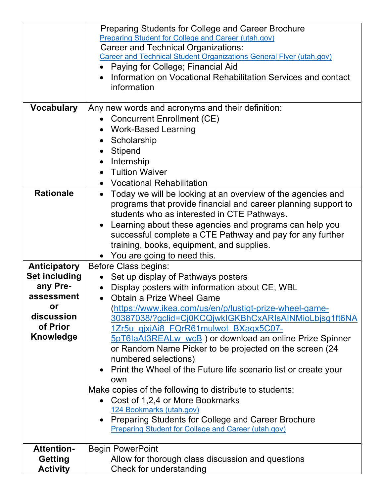|                      | Preparing Students for College and Career Brochure                       |
|----------------------|--------------------------------------------------------------------------|
|                      | Preparing Student for College and Career (utah.gov)                      |
|                      | <b>Career and Technical Organizations:</b>                               |
|                      | Career and Technical Student Organizations General Flyer (utah.gov)      |
|                      | • Paying for College; Financial Aid                                      |
|                      | • Information on Vocational Rehabilitation Services and contact          |
|                      | information                                                              |
|                      |                                                                          |
| <b>Vocabulary</b>    | Any new words and acronyms and their definition:                         |
|                      | <b>Concurrent Enrollment (CE)</b>                                        |
|                      | • Work-Based Learning                                                    |
|                      | • Scholarship                                                            |
|                      | Stipend                                                                  |
|                      | Internship                                                               |
|                      | <b>Tuition Waiver</b>                                                    |
|                      | <b>Vocational Rehabilitation</b>                                         |
| <b>Rationale</b>     | Today we will be looking at an overview of the agencies and<br>$\bullet$ |
|                      | programs that provide financial and career planning support to           |
|                      | students who as interested in CTE Pathways.                              |
|                      | Learning about these agencies and programs can help you                  |
|                      | successful complete a CTE Pathway and pay for any further                |
|                      | training, books, equipment, and supplies.                                |
|                      | • You are going to need this.                                            |
| <b>Anticipatory</b>  | <b>Before Class begins:</b>                                              |
| <b>Set including</b> | Set up display of Pathways posters                                       |
| any Pre-             | Display posters with information about CE, WBL<br>$\bullet$              |
| assessment           | • Obtain a Prize Wheel Game                                              |
| or                   | (https://www.ikea.com/us/en/p/lustigt-prize-wheel-game-                  |
| discussion           | 30387038/?gclid=Cj0KCQjwkIGKBhCxARIsAINMioLbjsg1ft6NA                    |
| of Prior             | 1Zr5u gjxjAi8 FQrR61mulwot BXagx5C07-                                    |
| <b>Knowledge</b>     | 5pT6laAt3REALw wcB) or download an online Prize Spinner                  |
|                      | or Random Name Picker to be projected on the screen (24                  |
|                      | numbered selections)                                                     |
|                      | Print the Wheel of the Future life scenario list or create your          |
|                      | own                                                                      |
|                      | Make copies of the following to distribute to students:                  |
|                      | • Cost of 1,2,4 or More Bookmarks                                        |
|                      | 124 Bookmarks (utah.gov)                                                 |
|                      | • Preparing Students for College and Career Brochure                     |
|                      | <b>Preparing Student for College and Career (utah.gov)</b>               |
|                      |                                                                          |
| <b>Attention-</b>    | <b>Begin PowerPoint</b>                                                  |
| <b>Getting</b>       | Allow for thorough class discussion and questions                        |
| <b>Activity</b>      | Check for understanding                                                  |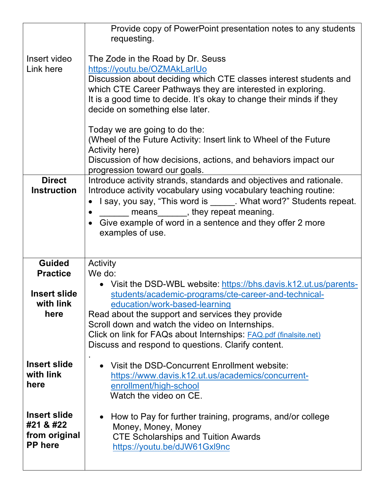|                                                                     | Provide copy of PowerPoint presentation notes to any students                                                                                                                                                                                                                                                                                                                                                                                           |
|---------------------------------------------------------------------|---------------------------------------------------------------------------------------------------------------------------------------------------------------------------------------------------------------------------------------------------------------------------------------------------------------------------------------------------------------------------------------------------------------------------------------------------------|
| Insert video<br>Link here                                           | requesting.<br>The Zode in the Road by Dr. Seuss<br>https://youtu.be/OZMAkLarIUo<br>Discussion about deciding which CTE classes interest students and<br>which CTE Career Pathways they are interested in exploring.<br>It is a good time to decide. It's okay to change their minds if they<br>decide on something else later.<br>Today we are going to do the:<br>(Wheel of the Future Activity: Insert link to Wheel of the Future<br>Activity here) |
|                                                                     | Discussion of how decisions, actions, and behaviors impact our<br>progression toward our goals.                                                                                                                                                                                                                                                                                                                                                         |
| <b>Direct</b><br><b>Instruction</b>                                 | Introduce activity strands, standards and objectives and rationale.<br>Introduce activity vocabulary using vocabulary teaching routine:<br>• I say, you say, "This word is ______. What word?" Students repeat.<br>means _______, they repeat meaning.<br>Give example of word in a sentence and they offer 2 more<br>examples of use.                                                                                                                  |
| <b>Guided</b><br><b>Practice</b>                                    | <b>Activity</b><br>We do:                                                                                                                                                                                                                                                                                                                                                                                                                               |
| <b>Insert slide</b><br>with link<br>here                            | • Visit the DSD-WBL website: https://bhs.davis.k12.ut.us/parents-<br>students/academic-programs/cte-career-and-technical-<br>education/work-based-learning<br>Read about the support and services they provide<br>Scroll down and watch the video on Internships.<br>Click on link for FAQs about Internships: FAQ.pdf (finalsite.net)<br>Discuss and respond to questions. Clarify content.                                                            |
| <b>Insert slide</b><br>with link<br>here                            | Visit the DSD-Concurrent Enrollment website:<br>https://www.davis.k12.ut.us/academics/concurrent-<br>enrollment/high-school<br>Watch the video on CE.                                                                                                                                                                                                                                                                                                   |
| <b>Insert slide</b><br>#21 & #22<br>from original<br><b>PP</b> here | How to Pay for further training, programs, and/or college<br>Money, Money, Money<br><b>CTE Scholarships and Tuition Awards</b><br>https://youtu.be/dJW61Gxl9nc                                                                                                                                                                                                                                                                                          |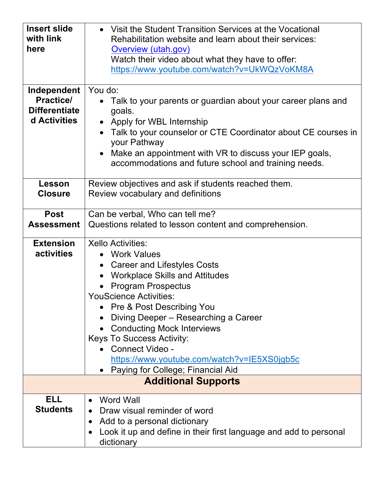| <b>Insert slide</b>  | • Visit the Student Transition Services at the Vocational                     |
|----------------------|-------------------------------------------------------------------------------|
| with link            | Rehabilitation website and learn about their services:                        |
| here                 | Overview (utah.gov)                                                           |
|                      | Watch their video about what they have to offer:                              |
|                      | https://www.youtube.com/watch?v=UkWQzVoKM8A                                   |
|                      |                                                                               |
| Independent          | You do:                                                                       |
| <b>Practice/</b>     | Talk to your parents or guardian about your career plans and                  |
| <b>Differentiate</b> | goals.                                                                        |
| d Activities         | • Apply for WBL Internship                                                    |
|                      | Talk to your counselor or CTE Coordinator about CE courses in<br>your Pathway |
|                      | • Make an appointment with VR to discuss your IEP goals,                      |
|                      | accommodations and future school and training needs.                          |
|                      |                                                                               |
| Lesson               | Review objectives and ask if students reached them.                           |
| <b>Closure</b>       | Review vocabulary and definitions                                             |
|                      |                                                                               |
| <b>Post</b>          | Can be verbal, Who can tell me?                                               |
| <b>Assessment</b>    | Questions related to lesson content and comprehension.                        |
| <b>Extension</b>     | <b>Xello Activities:</b>                                                      |
| activities           | • Work Values                                                                 |
|                      | • Career and Lifestyles Costs                                                 |
|                      | • Workplace Skills and Attitudes                                              |
|                      | <b>Program Prospectus</b>                                                     |
|                      | <b>YouScience Activities:</b>                                                 |
|                      | • Pre & Post Describing You                                                   |
|                      | Diving Deeper - Researching a Career                                          |
|                      | <b>Conducting Mock Interviews</b>                                             |
|                      | <b>Keys To Success Activity:</b>                                              |
|                      | Connect Video -                                                               |
|                      | https://www.youtube.com/watch?v=IE5XS0jgb5c                                   |
|                      | Paying for College; Financial Aid                                             |
|                      | <b>Additional Supports</b>                                                    |
| <b>ELL</b>           | <b>Word Wall</b>                                                              |
| <b>Students</b>      | Draw visual reminder of word                                                  |
|                      | Add to a personal dictionary                                                  |
|                      | Look it up and define in their first language and add to personal             |
|                      | dictionary                                                                    |